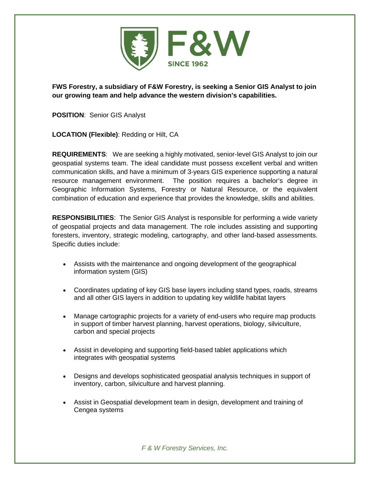

**FWS Forestry, a subsidiary of F&W Forestry, is seeking a Senior GIS Analyst to join our growing team and help advance the western division's capabilities.**

**POSITION**: Senior GIS Analyst

**LOCATION (Flexible)**: Redding or Hilt, CA

**REQUIREMENTS**: We are seeking a highly motivated, senior-level GIS Analyst to join our geospatial systems team. The ideal candidate must possess excellent verbal and written communication skills, and have a minimum of 3-years GIS experience supporting a natural resource management environment. The position requires a bachelor's degree in Geographic Information Systems, Forestry or Natural Resource, or the equivalent combination of education and experience that provides the knowledge, skills and abilities.

**RESPONSIBILITIES**: The Senior GIS Analyst is responsible for performing a wide variety of geospatial projects and data management. The role includes assisting and supporting foresters, inventory, strategic modeling, cartography, and other land-based assessments. Specific duties include:

- Assists with the maintenance and ongoing development of the geographical information system (GIS)
- Coordinates updating of key GIS base layers including stand types, roads, streams and all other GIS layers in addition to updating key wildlife habitat layers
- Manage cartographic projects for a variety of end-users who require map products in support of timber harvest planning, harvest operations, biology, silviculture, carbon and special projects
- Assist in developing and supporting field-based tablet applications which integrates with geospatial systems
- Designs and develops sophisticated geospatial analysis techniques in support of inventory, carbon, silviculture and harvest planning.
- Assist in Geospatial development team in design, development and training of Cengea systems

*F & W Forestry Services, Inc.*